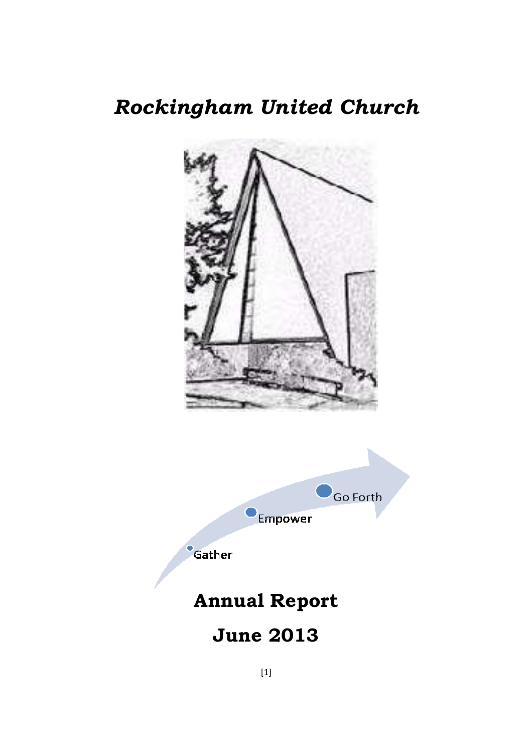# *Rockingham United Church*





Gather

# **Annual Report**

# **June 2013**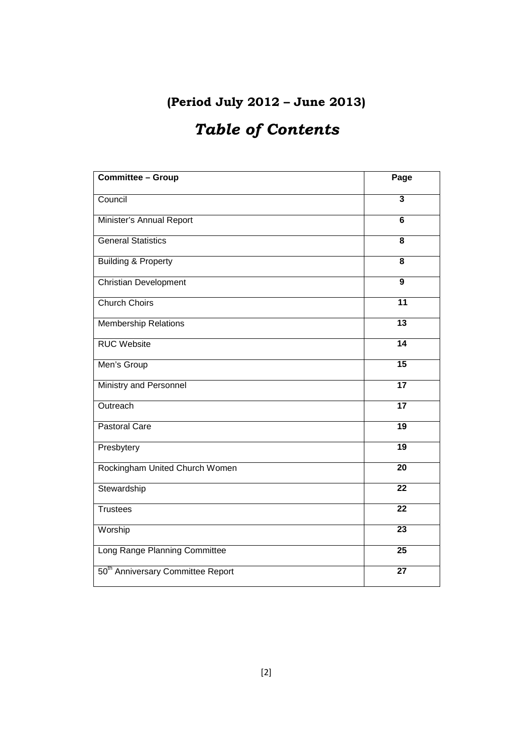# **(Period July 2012 – June 2013)**

# *Table of Contents*

| <b>Committee - Group</b>                      | Page                    |
|-----------------------------------------------|-------------------------|
| Council                                       | $\overline{\mathbf{3}}$ |
| Minister's Annual Report                      | 6                       |
| <b>General Statistics</b>                     | $\overline{\mathbf{8}}$ |
| <b>Building &amp; Property</b>                | 8                       |
| <b>Christian Development</b>                  | 9                       |
| <b>Church Choirs</b>                          | $\overline{11}$         |
| <b>Membership Relations</b>                   | $\overline{13}$         |
| <b>RUC Website</b>                            | $\overline{14}$         |
| Men's Group                                   | $\overline{15}$         |
| Ministry and Personnel                        | $\overline{17}$         |
| Outreach                                      | $\overline{17}$         |
| <b>Pastoral Care</b>                          | 19                      |
| Presbytery                                    | 19                      |
| Rockingham United Church Women                | 20                      |
| Stewardship                                   | $\overline{22}$         |
| <b>Trustees</b>                               | $\overline{22}$         |
| Worship                                       | 23                      |
| Long Range Planning Committee                 | $\overline{25}$         |
| 50 <sup>th</sup> Anniversary Committee Report | $\overline{27}$         |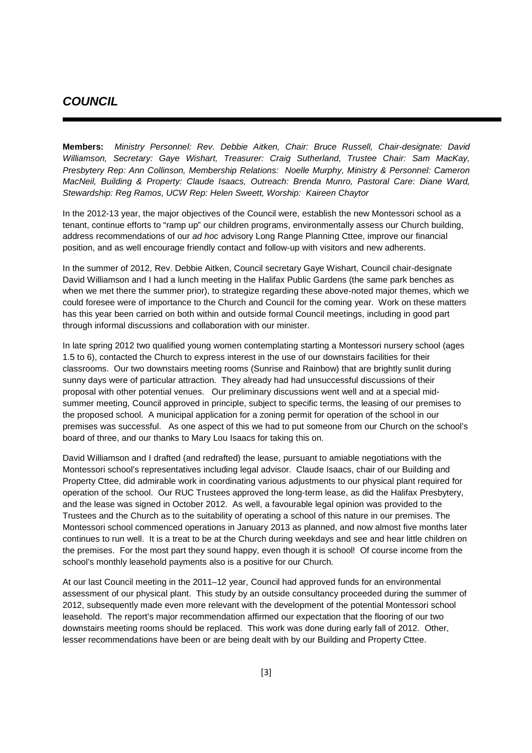### **COUNCIL**

**Members:** Ministry Personnel: Rev. Debbie Aitken, Chair: Bruce Russell, Chair-designate: David Williamson, Secretary: Gaye Wishart, Treasurer: Craig Sutherland, Trustee Chair: Sam MacKay, Presbytery Rep: Ann Collinson, Membership Relations: Noelle Murphy, Ministry & Personnel: Cameron MacNeil, Building & Property: Claude Isaacs, Outreach: Brenda Munro, Pastoral Care: Diane Ward, Stewardship: Reg Ramos, UCW Rep: Helen Sweett, Worship: Kaireen Chaytor

In the 2012-13 year, the major objectives of the Council were, establish the new Montessori school as a tenant, continue efforts to "ramp up" our children programs, environmentally assess our Church building, address recommendations of our ad hoc advisory Long Range Planning Cttee, improve our financial position, and as well encourage friendly contact and follow-up with visitors and new adherents.

In the summer of 2012, Rev. Debbie Aitken, Council secretary Gaye Wishart, Council chair-designate David Williamson and I had a lunch meeting in the Halifax Public Gardens (the same park benches as when we met there the summer prior), to strategize regarding these above-noted major themes, which we could foresee were of importance to the Church and Council for the coming year. Work on these matters has this year been carried on both within and outside formal Council meetings, including in good part through informal discussions and collaboration with our minister.

In late spring 2012 two qualified young women contemplating starting a Montessori nursery school (ages 1.5 to 6), contacted the Church to express interest in the use of our downstairs facilities for their classrooms. Our two downstairs meeting rooms (Sunrise and Rainbow) that are brightly sunlit during sunny days were of particular attraction. They already had had unsuccessful discussions of their proposal with other potential venues. Our preliminary discussions went well and at a special midsummer meeting, Council approved in principle, subject to specific terms, the leasing of our premises to the proposed school. A municipal application for a zoning permit for operation of the school in our premises was successful. As one aspect of this we had to put someone from our Church on the school's board of three, and our thanks to Mary Lou Isaacs for taking this on.

David Williamson and I drafted (and redrafted) the lease, pursuant to amiable negotiations with the Montessori school's representatives including legal advisor. Claude Isaacs, chair of our Building and Property Cttee, did admirable work in coordinating various adjustments to our physical plant required for operation of the school. Our RUC Trustees approved the long-term lease, as did the Halifax Presbytery, and the lease was signed in October 2012. As well, a favourable legal opinion was provided to the Trustees and the Church as to the suitability of operating a school of this nature in our premises. The Montessori school commenced operations in January 2013 as planned, and now almost five months later continues to run well. It is a treat to be at the Church during weekdays and see and hear little children on the premises. For the most part they sound happy, even though it is school! Of course income from the school's monthly leasehold payments also is a positive for our Church.

At our last Council meeting in the 2011–12 year, Council had approved funds for an environmental assessment of our physical plant. This study by an outside consultancy proceeded during the summer of 2012, subsequently made even more relevant with the development of the potential Montessori school leasehold. The report's major recommendation affirmed our expectation that the flooring of our two downstairs meeting rooms should be replaced. This work was done during early fall of 2012. Other, lesser recommendations have been or are being dealt with by our Building and Property Cttee.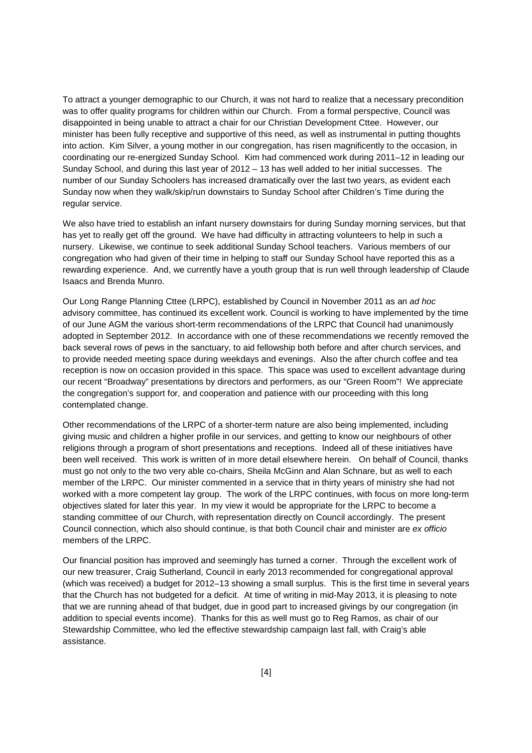To attract a younger demographic to our Church, it was not hard to realize that a necessary precondition was to offer quality programs for children within our Church. From a formal perspective, Council was disappointed in being unable to attract a chair for our Christian Development Cttee. However, our minister has been fully receptive and supportive of this need, as well as instrumental in putting thoughts into action. Kim Silver, a young mother in our congregation, has risen magnificently to the occasion, in coordinating our re-energized Sunday School. Kim had commenced work during 2011–12 in leading our Sunday School, and during this last year of 2012 – 13 has well added to her initial successes. The number of our Sunday Schoolers has increased dramatically over the last two years, as evident each Sunday now when they walk/skip/run downstairs to Sunday School after Children's Time during the regular service.

We also have tried to establish an infant nursery downstairs for during Sunday morning services, but that has yet to really get off the ground. We have had difficulty in attracting volunteers to help in such a nursery. Likewise, we continue to seek additional Sunday School teachers. Various members of our congregation who had given of their time in helping to staff our Sunday School have reported this as a rewarding experience. And, we currently have a youth group that is run well through leadership of Claude Isaacs and Brenda Munro.

Our Long Range Planning Cttee (LRPC), established by Council in November 2011 as an ad hoc advisory committee, has continued its excellent work. Council is working to have implemented by the time of our June AGM the various short-term recommendations of the LRPC that Council had unanimously adopted in September 2012. In accordance with one of these recommendations we recently removed the back several rows of pews in the sanctuary, to aid fellowship both before and after church services, and to provide needed meeting space during weekdays and evenings. Also the after church coffee and tea reception is now on occasion provided in this space. This space was used to excellent advantage during our recent "Broadway" presentations by directors and performers, as our "Green Room"! We appreciate the congregation's support for, and cooperation and patience with our proceeding with this long contemplated change.

Other recommendations of the LRPC of a shorter-term nature are also being implemented, including giving music and children a higher profile in our services, and getting to know our neighbours of other religions through a program of short presentations and receptions. Indeed all of these initiatives have been well received. This work is written of in more detail elsewhere herein. On behalf of Council, thanks must go not only to the two very able co-chairs, Sheila McGinn and Alan Schnare, but as well to each member of the LRPC. Our minister commented in a service that in thirty years of ministry she had not worked with a more competent lay group. The work of the LRPC continues, with focus on more long-term objectives slated for later this year. In my view it would be appropriate for the LRPC to become a standing committee of our Church, with representation directly on Council accordingly. The present Council connection, which also should continue, is that both Council chair and minister are ex officio members of the LRPC.

Our financial position has improved and seemingly has turned a corner. Through the excellent work of our new treasurer, Craig Sutherland, Council in early 2013 recommended for congregational approval (which was received) a budget for 2012–13 showing a small surplus. This is the first time in several years that the Church has not budgeted for a deficit. At time of writing in mid-May 2013, it is pleasing to note that we are running ahead of that budget, due in good part to increased givings by our congregation (in addition to special events income). Thanks for this as well must go to Reg Ramos, as chair of our Stewardship Committee, who led the effective stewardship campaign last fall, with Craig's able assistance.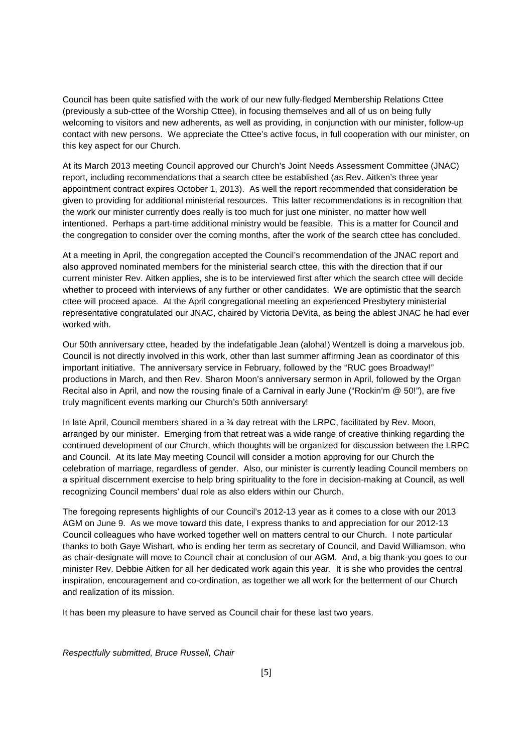Council has been quite satisfied with the work of our new fully-fledged Membership Relations Cttee (previously a sub-cttee of the Worship Cttee), in focusing themselves and all of us on being fully welcoming to visitors and new adherents, as well as providing, in conjunction with our minister, follow-up contact with new persons. We appreciate the Cttee's active focus, in full cooperation with our minister, on this key aspect for our Church.

At its March 2013 meeting Council approved our Church's Joint Needs Assessment Committee (JNAC) report, including recommendations that a search cttee be established (as Rev. Aitken's three year appointment contract expires October 1, 2013). As well the report recommended that consideration be given to providing for additional ministerial resources. This latter recommendations is in recognition that the work our minister currently does really is too much for just one minister, no matter how well intentioned. Perhaps a part-time additional ministry would be feasible. This is a matter for Council and the congregation to consider over the coming months, after the work of the search cttee has concluded.

At a meeting in April, the congregation accepted the Council's recommendation of the JNAC report and also approved nominated members for the ministerial search cttee, this with the direction that if our current minister Rev. Aitken applies, she is to be interviewed first after which the search cttee will decide whether to proceed with interviews of any further or other candidates. We are optimistic that the search cttee will proceed apace. At the April congregational meeting an experienced Presbytery ministerial representative congratulated our JNAC, chaired by Victoria DeVita, as being the ablest JNAC he had ever worked with.

Our 50th anniversary cttee, headed by the indefatigable Jean (aloha!) Wentzell is doing a marvelous job. Council is not directly involved in this work, other than last summer affirming Jean as coordinator of this important initiative. The anniversary service in February, followed by the "RUC goes Broadway!" productions in March, and then Rev. Sharon Moon's anniversary sermon in April, followed by the Organ Recital also in April, and now the rousing finale of a Carnival in early June ("Rockin'm @ 50!"), are five truly magnificent events marking our Church's 50th anniversary!

In late April, Council members shared in a 34 day retreat with the LRPC, facilitated by Rev. Moon, arranged by our minister. Emerging from that retreat was a wide range of creative thinking regarding the continued development of our Church, which thoughts will be organized for discussion between the LRPC and Council. At its late May meeting Council will consider a motion approving for our Church the celebration of marriage, regardless of gender. Also, our minister is currently leading Council members on a spiritual discernment exercise to help bring spirituality to the fore in decision-making at Council, as well recognizing Council members' dual role as also elders within our Church.

The foregoing represents highlights of our Council's 2012-13 year as it comes to a close with our 2013 AGM on June 9. As we move toward this date, I express thanks to and appreciation for our 2012-13 Council colleagues who have worked together well on matters central to our Church. I note particular thanks to both Gaye Wishart, who is ending her term as secretary of Council, and David Williamson, who as chair-designate will move to Council chair at conclusion of our AGM. And, a big thank-you goes to our minister Rev. Debbie Aitken for all her dedicated work again this year. It is she who provides the central inspiration, encouragement and co-ordination, as together we all work for the betterment of our Church and realization of its mission.

It has been my pleasure to have served as Council chair for these last two years.

Respectfully submitted, Bruce Russell, Chair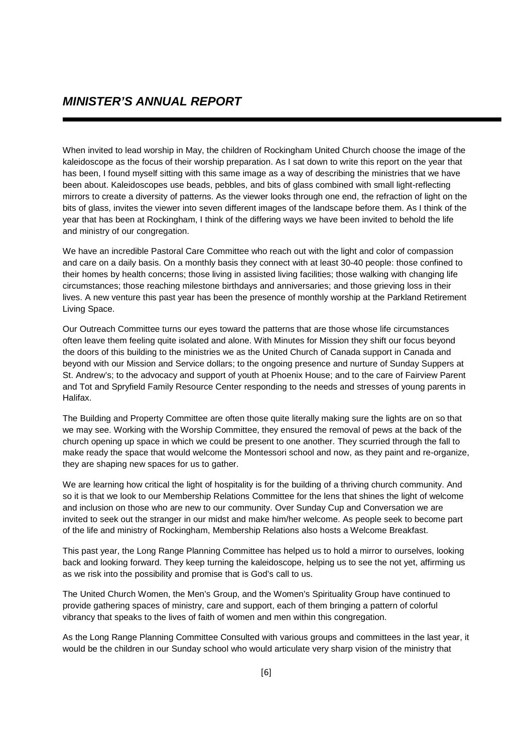When invited to lead worship in May, the children of Rockingham United Church choose the image of the kaleidoscope as the focus of their worship preparation. As I sat down to write this report on the year that has been, I found myself sitting with this same image as a way of describing the ministries that we have been about. Kaleidoscopes use beads, pebbles, and bits of glass combined with small light-reflecting mirrors to create a diversity of patterns. As the viewer looks through one end, the refraction of light on the bits of glass, invites the viewer into seven different images of the landscape before them. As I think of the year that has been at Rockingham, I think of the differing ways we have been invited to behold the life and ministry of our congregation.

We have an incredible Pastoral Care Committee who reach out with the light and color of compassion and care on a daily basis. On a monthly basis they connect with at least 30-40 people: those confined to their homes by health concerns; those living in assisted living facilities; those walking with changing life circumstances; those reaching milestone birthdays and anniversaries; and those grieving loss in their lives. A new venture this past year has been the presence of monthly worship at the Parkland Retirement Living Space.

Our Outreach Committee turns our eyes toward the patterns that are those whose life circumstances often leave them feeling quite isolated and alone. With Minutes for Mission they shift our focus beyond the doors of this building to the ministries we as the United Church of Canada support in Canada and beyond with our Mission and Service dollars; to the ongoing presence and nurture of Sunday Suppers at St. Andrew's; to the advocacy and support of youth at Phoenix House; and to the care of Fairview Parent and Tot and Spryfield Family Resource Center responding to the needs and stresses of young parents in Halifax.

The Building and Property Committee are often those quite literally making sure the lights are on so that we may see. Working with the Worship Committee, they ensured the removal of pews at the back of the church opening up space in which we could be present to one another. They scurried through the fall to make ready the space that would welcome the Montessori school and now, as they paint and re-organize, they are shaping new spaces for us to gather.

We are learning how critical the light of hospitality is for the building of a thriving church community. And so it is that we look to our Membership Relations Committee for the lens that shines the light of welcome and inclusion on those who are new to our community. Over Sunday Cup and Conversation we are invited to seek out the stranger in our midst and make him/her welcome. As people seek to become part of the life and ministry of Rockingham, Membership Relations also hosts a Welcome Breakfast.

This past year, the Long Range Planning Committee has helped us to hold a mirror to ourselves, looking back and looking forward. They keep turning the kaleidoscope, helping us to see the not yet, affirming us as we risk into the possibility and promise that is God's call to us.

The United Church Women, the Men's Group, and the Women's Spirituality Group have continued to provide gathering spaces of ministry, care and support, each of them bringing a pattern of colorful vibrancy that speaks to the lives of faith of women and men within this congregation.

As the Long Range Planning Committee Consulted with various groups and committees in the last year, it would be the children in our Sunday school who would articulate very sharp vision of the ministry that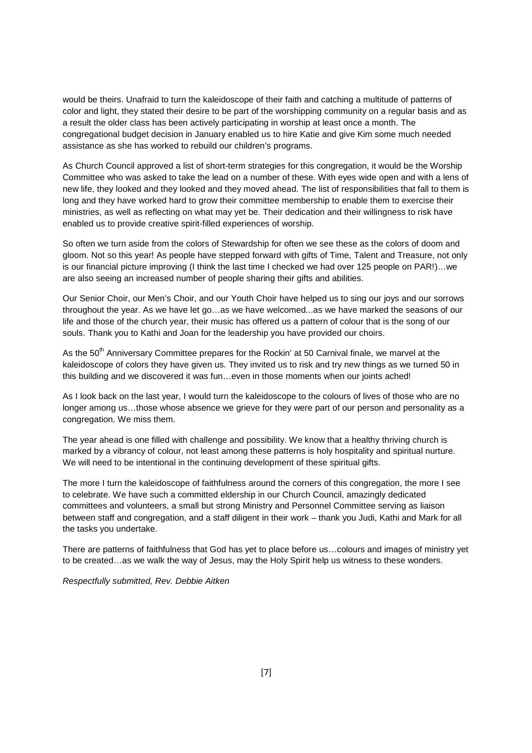would be theirs. Unafraid to turn the kaleidoscope of their faith and catching a multitude of patterns of color and light, they stated their desire to be part of the worshipping community on a regular basis and as a result the older class has been actively participating in worship at least once a month. The congregational budget decision in January enabled us to hire Katie and give Kim some much needed assistance as she has worked to rebuild our children's programs.

As Church Council approved a list of short-term strategies for this congregation, it would be the Worship Committee who was asked to take the lead on a number of these. With eyes wide open and with a lens of new life, they looked and they looked and they moved ahead. The list of responsibilities that fall to them is long and they have worked hard to grow their committee membership to enable them to exercise their ministries, as well as reflecting on what may yet be. Their dedication and their willingness to risk have enabled us to provide creative spirit-filled experiences of worship.

So often we turn aside from the colors of Stewardship for often we see these as the colors of doom and gloom. Not so this year! As people have stepped forward with gifts of Time, Talent and Treasure, not only is our financial picture improving (I think the last time I checked we had over 125 people on PAR!)…we are also seeing an increased number of people sharing their gifts and abilities.

Our Senior Choir, our Men's Choir, and our Youth Choir have helped us to sing our joys and our sorrows throughout the year. As we have let go…as we have welcomed...as we have marked the seasons of our life and those of the church year, their music has offered us a pattern of colour that is the song of our souls. Thank you to Kathi and Joan for the leadership you have provided our choirs.

As the 50<sup>th</sup> Anniversary Committee prepares for the Rockin' at 50 Carnival finale, we marvel at the kaleidoscope of colors they have given us. They invited us to risk and try new things as we turned 50 in this building and we discovered it was fun…even in those moments when our joints ached!

As I look back on the last year, I would turn the kaleidoscope to the colours of lives of those who are no longer among us...those whose absence we grieve for they were part of our person and personality as a congregation. We miss them.

The year ahead is one filled with challenge and possibility. We know that a healthy thriving church is marked by a vibrancy of colour, not least among these patterns is holy hospitality and spiritual nurture. We will need to be intentional in the continuing development of these spiritual gifts.

The more I turn the kaleidoscope of faithfulness around the corners of this congregation, the more I see to celebrate. We have such a committed eldership in our Church Council, amazingly dedicated committees and volunteers, a small but strong Ministry and Personnel Committee serving as liaison between staff and congregation, and a staff diligent in their work – thank you Judi, Kathi and Mark for all the tasks you undertake.

There are patterns of faithfulness that God has yet to place before us…colours and images of ministry yet to be created…as we walk the way of Jesus, may the Holy Spirit help us witness to these wonders.

Respectfully submitted, Rev. Debbie Aitken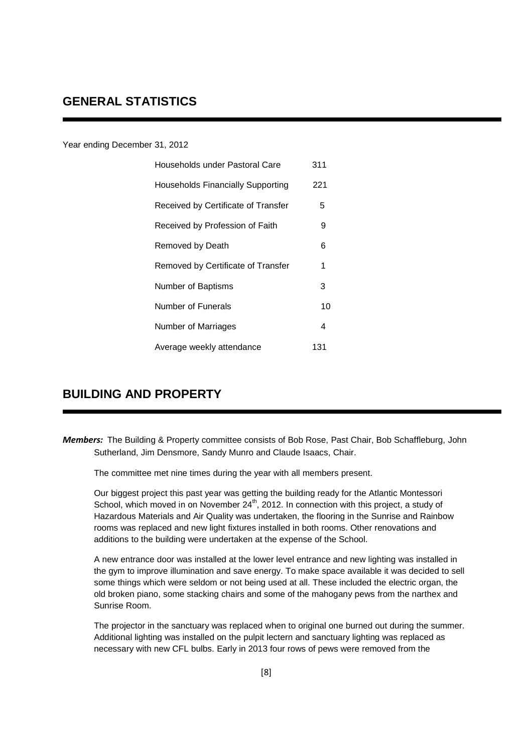### Year ending December 31, 2012

| Households under Pastoral Care           | 311 |
|------------------------------------------|-----|
| <b>Households Financially Supporting</b> | 221 |
| Received by Certificate of Transfer      | 5   |
| Received by Profession of Faith          | 9   |
| Removed by Death                         | 6   |
| Removed by Certificate of Transfer       | 1   |
| Number of Baptisms                       | 3   |
| Number of Funerals                       | 10  |
| Number of Marriages                      | 4   |
| Average weekly attendance                | 131 |

## **BUILDING AND PROPERTY**

*Members:* The Building & Property committee consists of Bob Rose, Past Chair, Bob Schaffleburg, John Sutherland, Jim Densmore, Sandy Munro and Claude Isaacs, Chair.

The committee met nine times during the year with all members present.

 Our biggest project this past year was getting the building ready for the Atlantic Montessori School, which moved in on November  $24<sup>th</sup>$ , 2012. In connection with this project, a study of Hazardous Materials and Air Quality was undertaken, the flooring in the Sunrise and Rainbow rooms was replaced and new light fixtures installed in both rooms. Other renovations and additions to the building were undertaken at the expense of the School.

 A new entrance door was installed at the lower level entrance and new lighting was installed in the gym to improve illumination and save energy. To make space available it was decided to sell some things which were seldom or not being used at all. These included the electric organ, the old broken piano, some stacking chairs and some of the mahogany pews from the narthex and Sunrise Room.

 The projector in the sanctuary was replaced when to original one burned out during the summer. Additional lighting was installed on the pulpit lectern and sanctuary lighting was replaced as necessary with new CFL bulbs. Early in 2013 four rows of pews were removed from the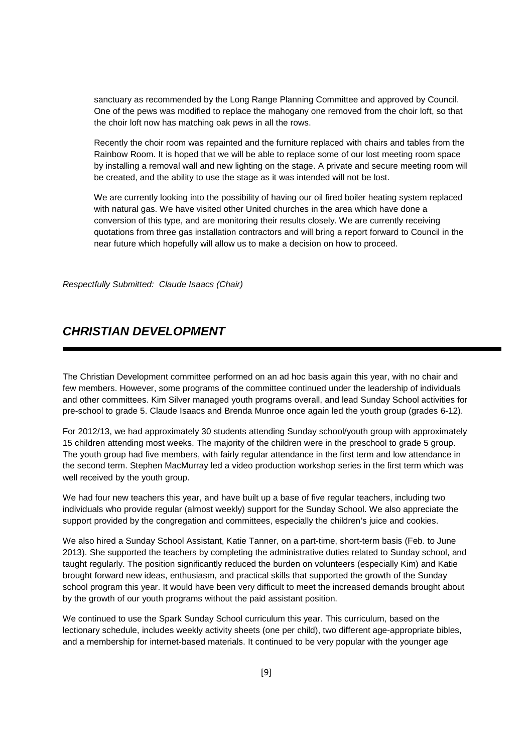sanctuary as recommended by the Long Range Planning Committee and approved by Council. One of the pews was modified to replace the mahogany one removed from the choir loft, so that the choir loft now has matching oak pews in all the rows.

 Recently the choir room was repainted and the furniture replaced with chairs and tables from the Rainbow Room. It is hoped that we will be able to replace some of our lost meeting room space by installing a removal wall and new lighting on the stage. A private and secure meeting room will be created, and the ability to use the stage as it was intended will not be lost.

We are currently looking into the possibility of having our oil fired boiler heating system replaced with natural gas. We have visited other United churches in the area which have done a conversion of this type, and are monitoring their results closely. We are currently receiving quotations from three gas installation contractors and will bring a report forward to Council in the near future which hopefully will allow us to make a decision on how to proceed.

Respectfully Submitted: Claude Isaacs (Chair)

### **CHRISTIAN DEVELOPMENT**

The Christian Development committee performed on an ad hoc basis again this year, with no chair and few members. However, some programs of the committee continued under the leadership of individuals and other committees. Kim Silver managed youth programs overall, and lead Sunday School activities for pre-school to grade 5. Claude Isaacs and Brenda Munroe once again led the youth group (grades 6-12).

For 2012/13, we had approximately 30 students attending Sunday school/youth group with approximately 15 children attending most weeks. The majority of the children were in the preschool to grade 5 group. The youth group had five members, with fairly regular attendance in the first term and low attendance in the second term. Stephen MacMurray led a video production workshop series in the first term which was well received by the youth group.

We had four new teachers this year, and have built up a base of five regular teachers, including two individuals who provide regular (almost weekly) support for the Sunday School. We also appreciate the support provided by the congregation and committees, especially the children's juice and cookies.

We also hired a Sunday School Assistant, Katie Tanner, on a part-time, short-term basis (Feb. to June 2013). She supported the teachers by completing the administrative duties related to Sunday school, and taught regularly. The position significantly reduced the burden on volunteers (especially Kim) and Katie brought forward new ideas, enthusiasm, and practical skills that supported the growth of the Sunday school program this year. It would have been very difficult to meet the increased demands brought about by the growth of our youth programs without the paid assistant position.

We continued to use the Spark Sunday School curriculum this year. This curriculum, based on the lectionary schedule, includes weekly activity sheets (one per child), two different age-appropriate bibles, and a membership for internet-based materials. It continued to be very popular with the younger age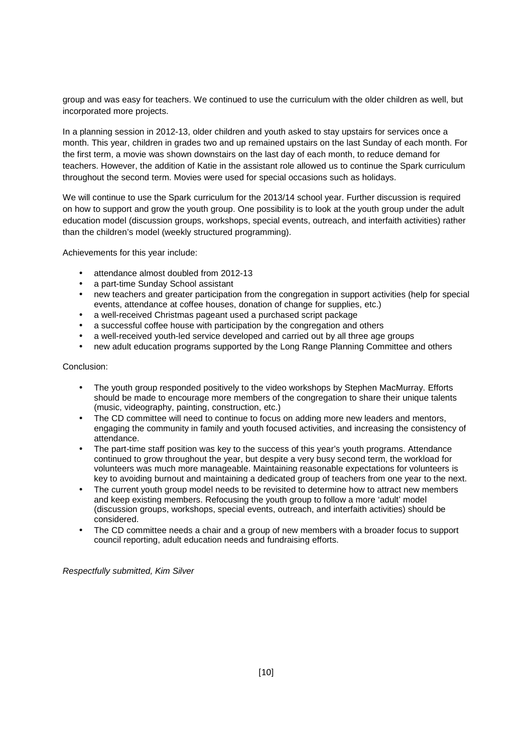group and was easy for teachers. We continued to use the curriculum with the older children as well, but incorporated more projects.

In a planning session in 2012-13, older children and youth asked to stay upstairs for services once a month. This year, children in grades two and up remained upstairs on the last Sunday of each month. For the first term, a movie was shown downstairs on the last day of each month, to reduce demand for teachers. However, the addition of Katie in the assistant role allowed us to continue the Spark curriculum throughout the second term. Movies were used for special occasions such as holidays.

We will continue to use the Spark curriculum for the 2013/14 school year. Further discussion is required on how to support and grow the youth group. One possibility is to look at the youth group under the adult education model (discussion groups, workshops, special events, outreach, and interfaith activities) rather than the children's model (weekly structured programming).

Achievements for this year include:

- attendance almost doubled from 2012-13
- a part-time Sunday School assistant
- new teachers and greater participation from the congregation in support activities (help for special events, attendance at coffee houses, donation of change for supplies, etc.)
- a well-received Christmas pageant used a purchased script package
- a successful coffee house with participation by the congregation and others
- a well-received youth-led service developed and carried out by all three age groups
- new adult education programs supported by the Long Range Planning Committee and others

### Conclusion:

- The youth group responded positively to the video workshops by Stephen MacMurray. Efforts should be made to encourage more members of the congregation to share their unique talents (music, videography, painting, construction, etc.)
- The CD committee will need to continue to focus on adding more new leaders and mentors, engaging the community in family and youth focused activities, and increasing the consistency of attendance.
- The part-time staff position was key to the success of this year's youth programs. Attendance continued to grow throughout the year, but despite a very busy second term, the workload for volunteers was much more manageable. Maintaining reasonable expectations for volunteers is key to avoiding burnout and maintaining a dedicated group of teachers from one year to the next.
- The current youth group model needs to be revisited to determine how to attract new members and keep existing members. Refocusing the youth group to follow a more 'adult' model (discussion groups, workshops, special events, outreach, and interfaith activities) should be considered.
- The CD committee needs a chair and a group of new members with a broader focus to support council reporting, adult education needs and fundraising efforts.

#### Respectfully submitted, Kim Silver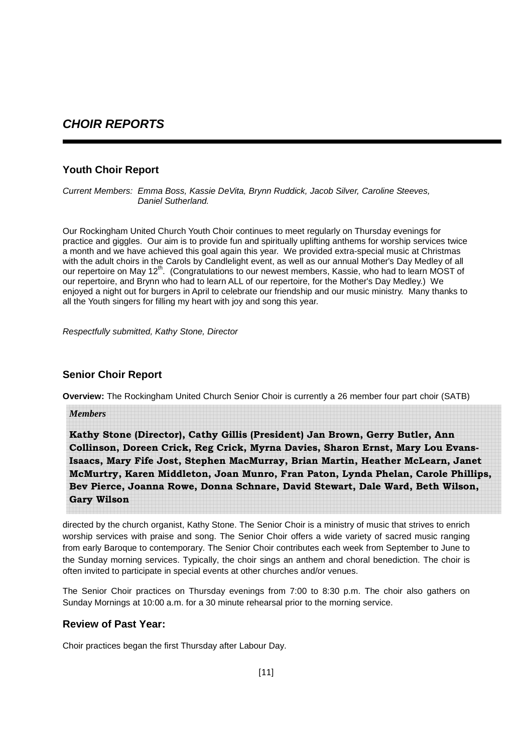## **CHOIR REPORTS**

### **Youth Choir Report**

Current Members: Emma Boss, Kassie DeVita, Brynn Ruddick, Jacob Silver, Caroline Steeves, Daniel Sutherland.

Our Rockingham United Church Youth Choir continues to meet regularly on Thursday evenings for practice and giggles. Our aim is to provide fun and spiritually uplifting anthems for worship services twice a month and we have achieved this goal again this year. We provided extra-special music at Christmas with the adult choirs in the Carols by Candlelight event, as well as our annual Mother's Day Medley of all our repertoire on May 12<sup>th</sup>. (Congratulations to our newest members, Kassie, who had to learn MOST of our repertoire, and Brynn who had to learn ALL of our repertoire, for the Mother's Day Medley.) We enjoyed a night out for burgers in April to celebrate our friendship and our music ministry. Many thanks to all the Youth singers for filling my heart with joy and song this year.

Respectfully submitted, Kathy Stone, Director

### **Senior Choir Report**

**Overview:** The Rockingham United Church Senior Choir is currently a 26 member four part choir (SATB)

*Members* 

**Kathy Stone (Director), Cathy Gillis (President) Jan Brown, Gerry Butler, Ann Collinson, Doreen Crick, Reg Crick, Myrna Davies, Sharon Ernst, Mary Lou Evans-Isaacs, Mary Fife Jost, Stephen MacMurray, Brian Martin, Heather McLearn, Janet McMurtry, Karen Middleton, Joan Munro, Fran Paton, Lynda Phelan, Carole Phillips, Bev Pierce, Joanna Rowe, Donna Schnare, David Stewart, Dale Ward, Beth Wilson, Gary Wilson** 

directed by the church organist, Kathy Stone. The Senior Choir is a ministry of music that strives to enrich worship services with praise and song. The Senior Choir offers a wide variety of sacred music ranging from early Baroque to contemporary. The Senior Choir contributes each week from September to June to the Sunday morning services. Typically, the choir sings an anthem and choral benediction. The choir is often invited to participate in special events at other churches and/or venues.

The Senior Choir practices on Thursday evenings from 7:00 to 8:30 p.m. The choir also gathers on Sunday Mornings at 10:00 a.m. for a 30 minute rehearsal prior to the morning service.

### **Review of Past Year:**

Choir practices began the first Thursday after Labour Day.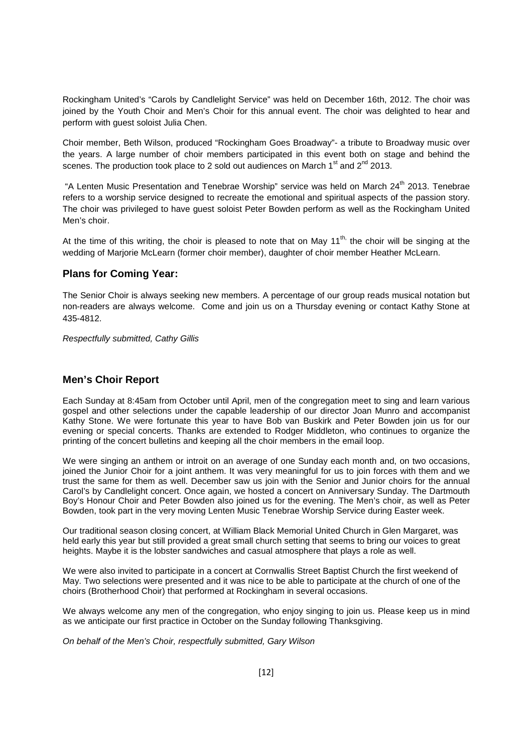Rockingham United's "Carols by Candlelight Service" was held on December 16th, 2012. The choir was joined by the Youth Choir and Men's Choir for this annual event. The choir was delighted to hear and perform with guest soloist Julia Chen.

Choir member, Beth Wilson, produced "Rockingham Goes Broadway"- a tribute to Broadway music over the years. A large number of choir members participated in this event both on stage and behind the scenes. The production took place to 2 sold out audiences on March 1<sup>st</sup> and  $2^{nd}$  2013.

"A Lenten Music Presentation and Tenebrae Worship" service was held on March 24<sup>th</sup> 2013. Tenebrae refers to a worship service designed to recreate the emotional and spiritual aspects of the passion story. The choir was privileged to have guest soloist Peter Bowden perform as well as the Rockingham United Men's choir.

At the time of this writing, the choir is pleased to note that on May  $11^{th}$ , the choir will be singing at the wedding of Marjorie McLearn (former choir member), daughter of choir member Heather McLearn.

### **Plans for Coming Year:**

The Senior Choir is always seeking new members. A percentage of our group reads musical notation but non-readers are always welcome. Come and join us on a Thursday evening or contact Kathy Stone at 435-4812.

Respectfully submitted, Cathy Gillis

### **Men's Choir Report**

Each Sunday at 8:45am from October until April, men of the congregation meet to sing and learn various gospel and other selections under the capable leadership of our director Joan Munro and accompanist Kathy Stone. We were fortunate this year to have Bob van Buskirk and Peter Bowden join us for our evening or special concerts. Thanks are extended to Rodger Middleton, who continues to organize the printing of the concert bulletins and keeping all the choir members in the email loop.

We were singing an anthem or introit on an average of one Sunday each month and, on two occasions, joined the Junior Choir for a joint anthem. It was very meaningful for us to join forces with them and we trust the same for them as well. December saw us join with the Senior and Junior choirs for the annual Carol's by Candlelight concert. Once again, we hosted a concert on Anniversary Sunday. The Dartmouth Boy's Honour Choir and Peter Bowden also joined us for the evening. The Men's choir, as well as Peter Bowden, took part in the very moving Lenten Music Tenebrae Worship Service during Easter week.

Our traditional season closing concert, at William Black Memorial United Church in Glen Margaret, was held early this year but still provided a great small church setting that seems to bring our voices to great heights. Maybe it is the lobster sandwiches and casual atmosphere that plays a role as well.

We were also invited to participate in a concert at Cornwallis Street Baptist Church the first weekend of May. Two selections were presented and it was nice to be able to participate at the church of one of the choirs (Brotherhood Choir) that performed at Rockingham in several occasions.

We always welcome any men of the congregation, who enjoy singing to join us. Please keep us in mind as we anticipate our first practice in October on the Sunday following Thanksgiving.

On behalf of the Men's Choir, respectfully submitted, Gary Wilson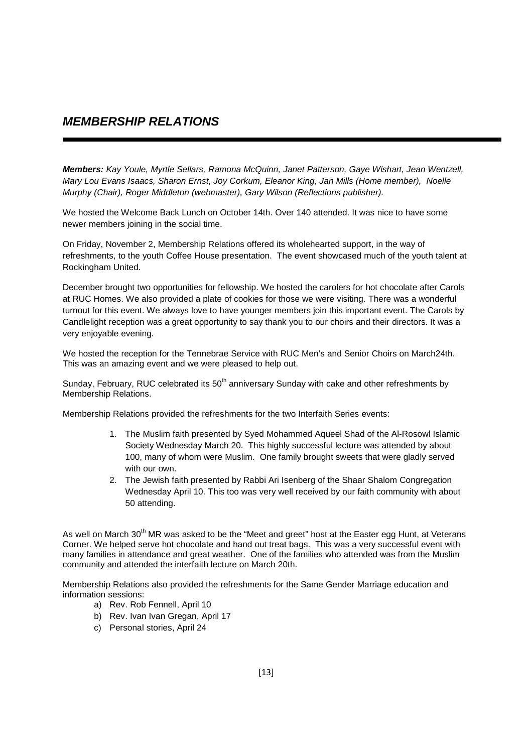# **MEMBERSHIP RELATIONS**

**Members:** Kay Youle, Myrtle Sellars, Ramona McQuinn, Janet Patterson, Gaye Wishart, Jean Wentzell, Mary Lou Evans Isaacs, Sharon Ernst, Joy Corkum, Eleanor King, Jan Mills (Home member), Noelle Murphy (Chair), Roger Middleton (webmaster), Gary Wilson (Reflections publisher).

We hosted the Welcome Back Lunch on October 14th. Over 140 attended. It was nice to have some newer members joining in the social time.

On Friday, November 2, Membership Relations offered its wholehearted support, in the way of refreshments, to the youth Coffee House presentation. The event showcased much of the youth talent at Rockingham United.

December brought two opportunities for fellowship. We hosted the carolers for hot chocolate after Carols at RUC Homes. We also provided a plate of cookies for those we were visiting. There was a wonderful turnout for this event. We always love to have younger members join this important event. The Carols by Candlelight reception was a great opportunity to say thank you to our choirs and their directors. It was a very enjoyable evening.

We hosted the reception for the Tennebrae Service with RUC Men's and Senior Choirs on March24th. This was an amazing event and we were pleased to help out.

Sunday, February, RUC celebrated its 50<sup>th</sup> anniversary Sunday with cake and other refreshments by Membership Relations.

Membership Relations provided the refreshments for the two Interfaith Series events:

- 1. The Muslim faith presented by Syed Mohammed Aqueel Shad of the Al-Rosowl Islamic Society Wednesday March 20. This highly successful lecture was attended by about 100, many of whom were Muslim. One family brought sweets that were gladly served with our own.
- 2. The Jewish faith presented by Rabbi Ari Isenberg of the Shaar Shalom Congregation Wednesday April 10. This too was very well received by our faith community with about 50 attending.

As well on March 30<sup>th</sup> MR was asked to be the "Meet and greet" host at the Easter egg Hunt, at Veterans Corner. We helped serve hot chocolate and hand out treat bags. This was a very successful event with many families in attendance and great weather. One of the families who attended was from the Muslim community and attended the interfaith lecture on March 20th.

Membership Relations also provided the refreshments for the Same Gender Marriage education and information sessions:

- a) Rev. Rob Fennell, April 10
- b) Rev. Ivan Ivan Gregan, April 17
- c) Personal stories, April 24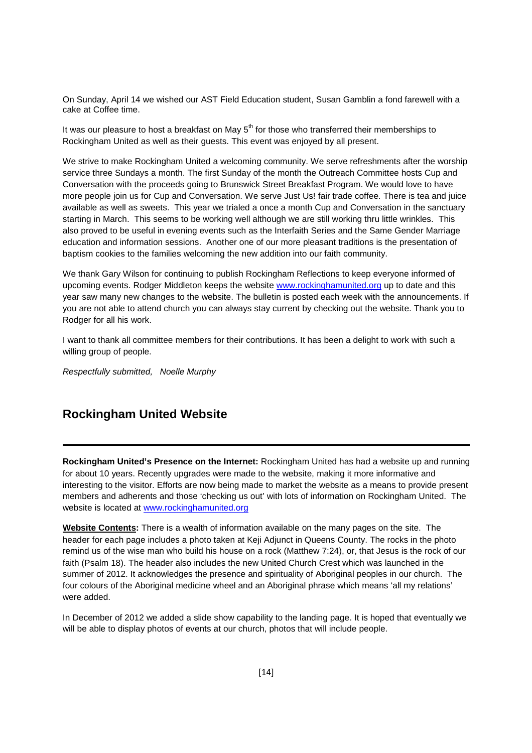On Sunday, April 14 we wished our AST Field Education student, Susan Gamblin a fond farewell with a cake at Coffee time.

It was our pleasure to host a breakfast on May  $5<sup>th</sup>$  for those who transferred their memberships to Rockingham United as well as their guests. This event was enjoyed by all present.

We strive to make Rockingham United a welcoming community. We serve refreshments after the worship service three Sundays a month. The first Sunday of the month the Outreach Committee hosts Cup and Conversation with the proceeds going to Brunswick Street Breakfast Program. We would love to have more people join us for Cup and Conversation. We serve Just Us! fair trade coffee. There is tea and juice available as well as sweets. This year we trialed a once a month Cup and Conversation in the sanctuary starting in March. This seems to be working well although we are still working thru little wrinkles. This also proved to be useful in evening events such as the Interfaith Series and the Same Gender Marriage education and information sessions. Another one of our more pleasant traditions is the presentation of baptism cookies to the families welcoming the new addition into our faith community.

We thank Gary Wilson for continuing to publish Rockingham Reflections to keep everyone informed of upcoming events. Rodger Middleton keeps the website www.rockinghamunited.org up to date and this year saw many new changes to the website. The bulletin is posted each week with the announcements. If you are not able to attend church you can always stay current by checking out the website. Thank you to Rodger for all his work.

I want to thank all committee members for their contributions. It has been a delight to work with such a willing group of people.

Respectfully submitted, Noelle Murphy

## **Rockingham United Website**

**Rockingham United's Presence on the Internet:** Rockingham United has had a website up and running for about 10 years. Recently upgrades were made to the website, making it more informative and interesting to the visitor. Efforts are now being made to market the website as a means to provide present members and adherents and those 'checking us out' with lots of information on Rockingham United. The website is located at www.rockinghamunited.org

**Website Contents:** There is a wealth of information available on the many pages on the site. The header for each page includes a photo taken at Keji Adjunct in Queens County. The rocks in the photo remind us of the wise man who build his house on a rock (Matthew 7:24), or, that Jesus is the rock of our faith (Psalm 18). The header also includes the new United Church Crest which was launched in the summer of 2012. It acknowledges the presence and spirituality of Aboriginal peoples in our church. The four colours of the Aboriginal medicine wheel and an Aboriginal phrase which means 'all my relations' were added.

In December of 2012 we added a slide show capability to the landing page. It is hoped that eventually we will be able to display photos of events at our church, photos that will include people.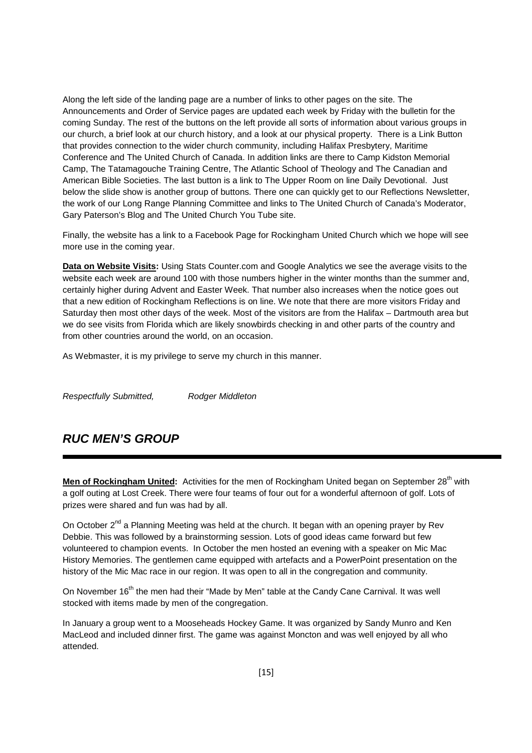Along the left side of the landing page are a number of links to other pages on the site. The Announcements and Order of Service pages are updated each week by Friday with the bulletin for the coming Sunday. The rest of the buttons on the left provide all sorts of information about various groups in our church, a brief look at our church history, and a look at our physical property. There is a Link Button that provides connection to the wider church community, including Halifax Presbytery, Maritime Conference and The United Church of Canada. In addition links are there to Camp Kidston Memorial Camp, The Tatamagouche Training Centre, The Atlantic School of Theology and The Canadian and American Bible Societies. The last button is a link to The Upper Room on line Daily Devotional. Just below the slide show is another group of buttons. There one can quickly get to our Reflections Newsletter, the work of our Long Range Planning Committee and links to The United Church of Canada's Moderator, Gary Paterson's Blog and The United Church You Tube site.

Finally, the website has a link to a Facebook Page for Rockingham United Church which we hope will see more use in the coming year.

**Data on Website Visits:** Using Stats Counter.com and Google Analytics we see the average visits to the website each week are around 100 with those numbers higher in the winter months than the summer and, certainly higher during Advent and Easter Week. That number also increases when the notice goes out that a new edition of Rockingham Reflections is on line. We note that there are more visitors Friday and Saturday then most other days of the week. Most of the visitors are from the Halifax – Dartmouth area but we do see visits from Florida which are likely snowbirds checking in and other parts of the country and from other countries around the world, on an occasion.

As Webmaster, it is my privilege to serve my church in this manner.

Respectfully Submitted, Rodger Middleton

# **RUC MEN'S GROUP**

Men of Rockingham United: Activities for the men of Rockingham United began on September 28<sup>th</sup> with a golf outing at Lost Creek. There were four teams of four out for a wonderful afternoon of golf. Lots of prizes were shared and fun was had by all.

On October 2<sup>nd</sup> a Planning Meeting was held at the church. It began with an opening prayer by Rev Debbie. This was followed by a brainstorming session. Lots of good ideas came forward but few volunteered to champion events. In October the men hosted an evening with a speaker on Mic Mac History Memories. The gentlemen came equipped with artefacts and a PowerPoint presentation on the history of the Mic Mac race in our region. It was open to all in the congregation and community.

On November 16<sup>th</sup> the men had their "Made by Men" table at the Candy Cane Carnival. It was well stocked with items made by men of the congregation.

In January a group went to a Mooseheads Hockey Game. It was organized by Sandy Munro and Ken MacLeod and included dinner first. The game was against Moncton and was well enjoyed by all who attended.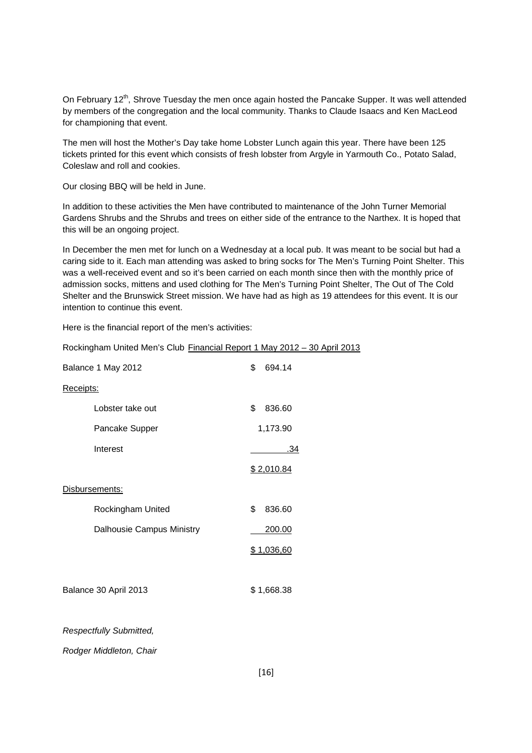On February 12<sup>th</sup>, Shrove Tuesday the men once again hosted the Pancake Supper. It was well attended by members of the congregation and the local community. Thanks to Claude Isaacs and Ken MacLeod for championing that event.

The men will host the Mother's Day take home Lobster Lunch again this year. There have been 125 tickets printed for this event which consists of fresh lobster from Argyle in Yarmouth Co., Potato Salad, Coleslaw and roll and cookies.

Our closing BBQ will be held in June.

In addition to these activities the Men have contributed to maintenance of the John Turner Memorial Gardens Shrubs and the Shrubs and trees on either side of the entrance to the Narthex. It is hoped that this will be an ongoing project.

In December the men met for lunch on a Wednesday at a local pub. It was meant to be social but had a caring side to it. Each man attending was asked to bring socks for The Men's Turning Point Shelter. This was a well-received event and so it's been carried on each month since then with the monthly price of admission socks, mittens and used clothing for The Men's Turning Point Shelter, The Out of The Cold Shelter and the Brunswick Street mission. We have had as high as 19 attendees for this event. It is our intention to continue this event.

Here is the financial report of the men's activities:

| Rockingham United Men's Club Financial Report 1 May 2012 - 30 April 2013 |                           |    |            |
|--------------------------------------------------------------------------|---------------------------|----|------------|
|                                                                          | Balance 1 May 2012        | \$ | 694.14     |
| Receipts:                                                                |                           |    |            |
|                                                                          | Lobster take out          | \$ | 836.60     |
|                                                                          | Pancake Supper            |    | 1,173.90   |
|                                                                          | Interest                  |    | .34        |
|                                                                          |                           |    | \$2,010.84 |
| Disbursements:                                                           |                           |    |            |
|                                                                          | Rockingham United         | \$ | 836.60     |
|                                                                          | Dalhousie Campus Ministry |    | 200.00     |
|                                                                          |                           |    | \$1,036,60 |
|                                                                          |                           |    |            |
|                                                                          | Balance 30 April 2013     |    | \$1,668.38 |
|                                                                          |                           |    |            |
|                                                                          | Respectfully Submitted,   |    |            |
|                                                                          |                           |    |            |

Rodger Middleton, Chair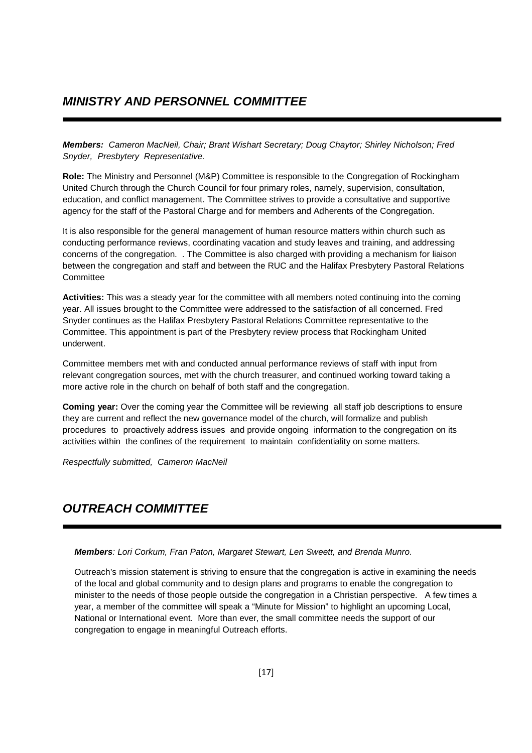# **MINISTRY AND PERSONNEL COMMITTEE**

**Members:** Cameron MacNeil, Chair; Brant Wishart Secretary; Doug Chaytor; Shirley Nicholson; Fred Snyder, Presbytery Representative.

**Role:** The Ministry and Personnel (M&P) Committee is responsible to the Congregation of Rockingham United Church through the Church Council for four primary roles, namely, supervision, consultation, education, and conflict management. The Committee strives to provide a consultative and supportive agency for the staff of the Pastoral Charge and for members and Adherents of the Congregation.

It is also responsible for the general management of human resource matters within church such as conducting performance reviews, coordinating vacation and study leaves and training, and addressing concerns of the congregation. . The Committee is also charged with providing a mechanism for liaison between the congregation and staff and between the RUC and the Halifax Presbytery Pastoral Relations **Committee** 

**Activities:** This was a steady year for the committee with all members noted continuing into the coming year. All issues brought to the Committee were addressed to the satisfaction of all concerned. Fred Snyder continues as the Halifax Presbytery Pastoral Relations Committee representative to the Committee. This appointment is part of the Presbytery review process that Rockingham United underwent.

Committee members met with and conducted annual performance reviews of staff with input from relevant congregation sources, met with the church treasurer, and continued working toward taking a more active role in the church on behalf of both staff and the congregation.

**Coming year:** Over the coming year the Committee will be reviewing all staff job descriptions to ensure they are current and reflect the new governance model of the church, will formalize and publish procedures to proactively address issues and provide ongoing information to the congregation on its activities within the confines of the requirement to maintain confidentiality on some matters.

Respectfully submitted, Cameron MacNeil

# **OUTREACH COMMITTEE**

**Members**: Lori Corkum, Fran Paton, Margaret Stewart, Len Sweett, and Brenda Munro.

Outreach's mission statement is striving to ensure that the congregation is active in examining the needs of the local and global community and to design plans and programs to enable the congregation to minister to the needs of those people outside the congregation in a Christian perspective. A few times a year, a member of the committee will speak a "Minute for Mission" to highlight an upcoming Local, National or International event. More than ever, the small committee needs the support of our congregation to engage in meaningful Outreach efforts.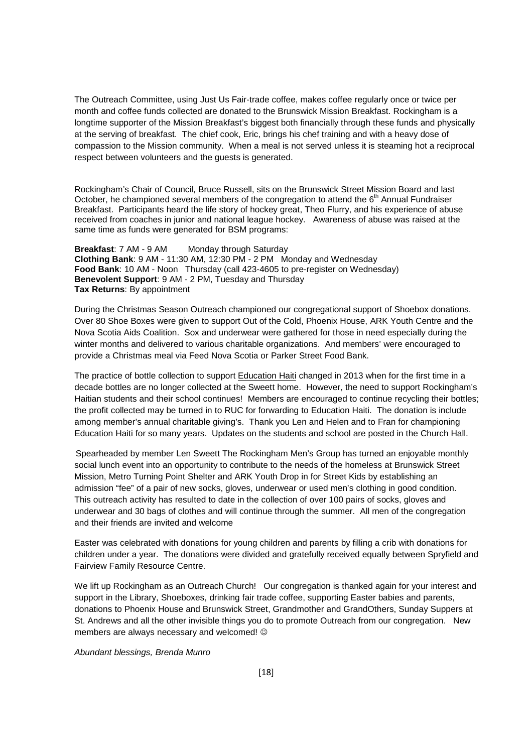The Outreach Committee, using Just Us Fair-trade coffee, makes coffee regularly once or twice per month and coffee funds collected are donated to the Brunswick Mission Breakfast. Rockingham is a longtime supporter of the Mission Breakfast's biggest both financially through these funds and physically at the serving of breakfast. The chief cook, Eric, brings his chef training and with a heavy dose of compassion to the Mission community. When a meal is not served unless it is steaming hot a reciprocal respect between volunteers and the guests is generated.

Rockingham's Chair of Council, Bruce Russell, sits on the Brunswick Street Mission Board and last October, he championed several members of the congregation to attend the 6<sup>th</sup> Annual Fundraiser Breakfast. Participants heard the life story of hockey great, Theo Flurry, and his experience of abuse received from coaches in junior and national league hockey. Awareness of abuse was raised at the same time as funds were generated for BSM programs:

**Breakfast:** 7 AM - 9 AM Monday through Saturday **Clothing Bank**: 9 AM - 11:30 AM, 12:30 PM - 2 PM Monday and Wednesday **Food Bank**: 10 AM - Noon Thursday (call 423-4605 to pre-register on Wednesday) **Benevolent Support**: 9 AM - 2 PM, Tuesday and Thursday **Tax Returns**: By appointment

During the Christmas Season Outreach championed our congregational support of Shoebox donations. Over 80 Shoe Boxes were given to support Out of the Cold, Phoenix House, ARK Youth Centre and the Nova Scotia Aids Coalition. Sox and underwear were gathered for those in need especially during the winter months and delivered to various charitable organizations. And members' were encouraged to provide a Christmas meal via Feed Nova Scotia or Parker Street Food Bank.

The practice of bottle collection to support Education Haiti changed in 2013 when for the first time in a decade bottles are no longer collected at the Sweett home. However, the need to support Rockingham's Haitian students and their school continues! Members are encouraged to continue recycling their bottles; the profit collected may be turned in to RUC for forwarding to Education Haiti. The donation is include among member's annual charitable giving's. Thank you Len and Helen and to Fran for championing Education Haiti for so many years. Updates on the students and school are posted in the Church Hall.

Spearheaded by member Len Sweett The Rockingham Men's Group has turned an enjoyable monthly social lunch event into an opportunity to contribute to the needs of the homeless at Brunswick Street Mission, Metro Turning Point Shelter and ARK Youth Drop in for Street Kids by establishing an admission "fee" of a pair of new socks, gloves, underwear or used men's clothing in good condition. This outreach activity has resulted to date in the collection of over 100 pairs of socks, gloves and underwear and 30 bags of clothes and will continue through the summer. All men of the congregation and their friends are invited and welcome

Easter was celebrated with donations for young children and parents by filling a crib with donations for children under a year. The donations were divided and gratefully received equally between Spryfield and Fairview Family Resource Centre.

We lift up Rockingham as an Outreach Church! Our congregation is thanked again for your interest and support in the Library, Shoeboxes, drinking fair trade coffee, supporting Easter babies and parents, donations to Phoenix House and Brunswick Street, Grandmother and GrandOthers, Sunday Suppers at St. Andrews and all the other invisible things you do to promote Outreach from our congregation. New members are always necessary and welcomed!  $\odot$ 

Abundant blessings, Brenda Munro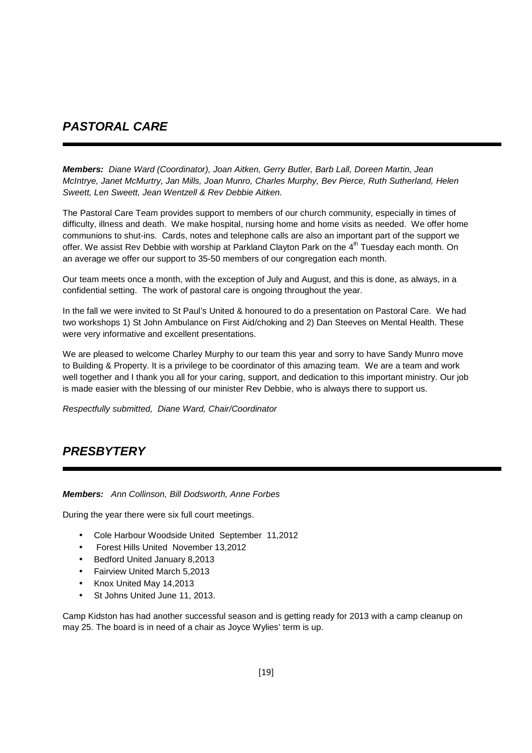# **PASTORAL CARE**

**Members:** Diane Ward (Coordinator), Joan Aitken, Gerry Butler, Barb Lall, Doreen Martin, Jean McIntrye, Janet McMurtry, Jan Mills, Joan Munro, Charles Murphy, Bev Pierce, Ruth Sutherland, Helen Sweett, Len Sweett, Jean Wentzell & Rev Debbie Aitken.

The Pastoral Care Team provides support to members of our church community, especially in times of difficulty, illness and death. We make hospital, nursing home and home visits as needed. We offer home communions to shut-ins. Cards, notes and telephone calls are also an important part of the support we offer. We assist Rev Debbie with worship at Parkland Clayton Park on the 4<sup>th</sup> Tuesday each month. On an average we offer our support to 35-50 members of our congregation each month.

Our team meets once a month, with the exception of July and August, and this is done, as always, in a confidential setting. The work of pastoral care is ongoing throughout the year.

In the fall we were invited to St Paul's United & honoured to do a presentation on Pastoral Care. We had two workshops 1) St John Ambulance on First Aid/choking and 2) Dan Steeves on Mental Health. These were very informative and excellent presentations.

We are pleased to welcome Charley Murphy to our team this year and sorry to have Sandy Munro move to Building & Property. It is a privilege to be coordinator of this amazing team. We are a team and work well together and I thank you all for your caring, support, and dedication to this important ministry. Our job is made easier with the blessing of our minister Rev Debbie, who is always there to support us.

Respectfully submitted, Diane Ward, Chair/Coordinator

# **PRESBYTERY**

### **Members:** Ann Collinson, Bill Dodsworth, Anne Forbes

During the year there were six full court meetings.

- Cole Harbour Woodside United September 11,2012
- Forest Hills United November 13,2012
- Bedford United January 8,2013
- Fairview United March 5,2013
- Knox United May 14,2013
- St Johns United June 11, 2013.

Camp Kidston has had another successful season and is getting ready for 2013 with a camp cleanup on may 25. The board is in need of a chair as Joyce Wylies' term is up.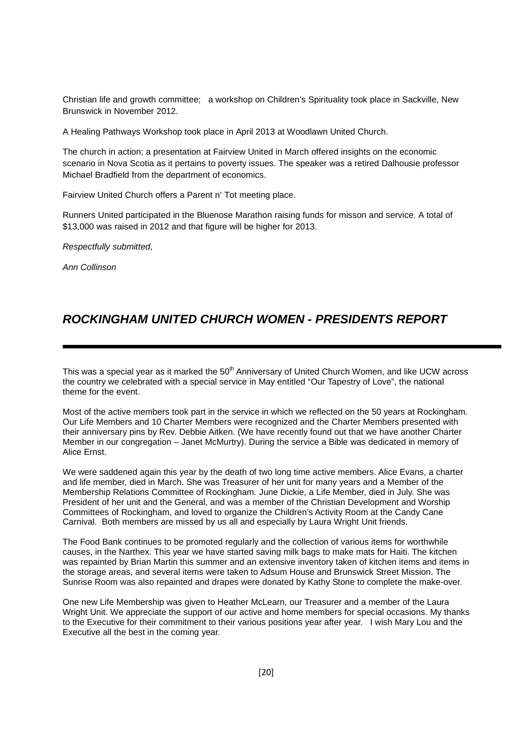Christian life and growth committee; a workshop on Children's Spirituality took place in Sackville, New Brunswick in November 2012.

A Healing Pathways Workshop took place in April 2013 at Woodlawn United Church.

The church in action; a presentation at Fairview United in March offered insights on the economic scenario in Nova Scotia as it pertains to poverty issues. The speaker was a retired Dalhousie professor Michael Bradfield from the department of economics.

Fairview United Church offers a Parent n' Tot meeting place.

Runners United participated in the Bluenose Marathon raising funds for misson and service. A total of \$13,000 was raised in 2012 and that figure will be higher for 2013.

Respectfully submitted,

Ann Collinson

## **ROCKINGHAM UNITED CHURCH WOMEN - PRESIDENTS REPORT**

This was a special year as it marked the 50<sup>th</sup> Anniversary of United Church Women, and like UCW across the country we celebrated with a special service in May entitled "Our Tapestry of Love", the national theme for the event.

Most of the active members took part in the service in which we reflected on the 50 years at Rockingham. Our Life Members and 10 Charter Members were recognized and the Charter Members presented with their anniversary pins by Rev. Debbie Aitken. (We have recently found out that we have another Charter Member in our congregation – Janet McMurtry). During the service a Bible was dedicated in memory of Alice Ernst.

We were saddened again this year by the death of two long time active members. Alice Evans, a charter and life member, died in March. She was Treasurer of her unit for many years and a Member of the Membership Relations Committee of Rockingham. June Dickie, a Life Member, died in July. She was President of her unit and the General, and was a member of the Christian Development and Worship Committees of Rockingham, and loved to organize the Children's Activity Room at the Candy Cane Carnival. Both members are missed by us all and especially by Laura Wright Unit friends.

The Food Bank continues to be promoted regularly and the collection of various items for worthwhile causes, in the Narthex. This year we have started saving milk bags to make mats for Haiti. The kitchen was repainted by Brian Martin this summer and an extensive inventory taken of kitchen items and items in the storage areas, and several items were taken to Adsum House and Brunswick Street Mission. The Sunrise Room was also repainted and drapes were donated by Kathy Stone to complete the make-over.

One new Life Membership was given to Heather McLearn, our Treasurer and a member of the Laura Wright Unit. We appreciate the support of our active and home members for special occasions. My thanks to the Executive for their commitment to their various positions year after year. I wish Mary Lou and the Executive all the best in the coming year.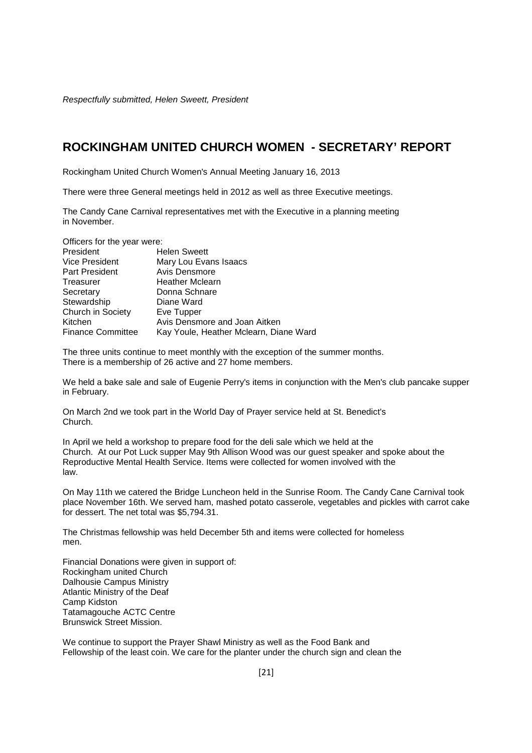Respectfully submitted, Helen Sweett, President

## **ROCKINGHAM UNITED CHURCH WOMEN - SECRETARY' REPORT**

Rockingham United Church Women's Annual Meeting January 16, 2013

There were three General meetings held in 2012 as well as three Executive meetings.

The Candy Cane Carnival representatives met with the Executive in a planning meeting in November.

| Officers for the year were: |                                        |
|-----------------------------|----------------------------------------|
| President                   | <b>Helen Sweett</b>                    |
| <b>Vice President</b>       | Mary Lou Evans Isaacs                  |
| Part President              | Avis Densmore                          |
| Treasurer                   | <b>Heather Mclearn</b>                 |
| Secretary                   | Donna Schnare                          |
| Stewardship                 | Diane Ward                             |
| Church in Society           | Eve Tupper                             |
| Kitchen                     | Avis Densmore and Joan Aitken          |
| <b>Finance Committee</b>    | Kay Youle, Heather Mclearn, Diane Ward |
|                             |                                        |

The three units continue to meet monthly with the exception of the summer months. There is a membership of 26 active and 27 home members.

We held a bake sale and sale of Eugenie Perry's items in conjunction with the Men's club pancake supper in February.

On March 2nd we took part in the World Day of Prayer service held at St. Benedict's Church.

In April we held a workshop to prepare food for the deli sale which we held at the Church. At our Pot Luck supper May 9th Allison Wood was our guest speaker and spoke about the Reproductive Mental Health Service. Items were collected for women involved with the law.

On May 11th we catered the Bridge Luncheon held in the Sunrise Room. The Candy Cane Carnival took place November 16th. We served ham, mashed potato casserole, vegetables and pickles with carrot cake for dessert. The net total was \$5,794.31.

The Christmas fellowship was held December 5th and items were collected for homeless men.

Financial Donations were given in support of: Rockingham united Church Dalhousie Campus Ministry Atlantic Ministry of the Deaf Camp Kidston Tatamagouche ACTC Centre Brunswick Street Mission.

We continue to support the Prayer Shawl Ministry as well as the Food Bank and Fellowship of the least coin. We care for the planter under the church sign and clean the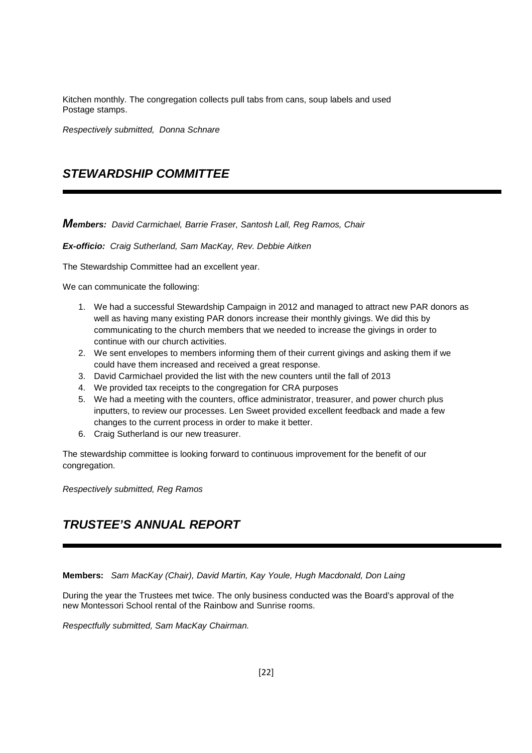Kitchen monthly. The congregation collects pull tabs from cans, soup labels and used Postage stamps.

Respectively submitted, Donna Schnare

# **STEWARDSHIP COMMITTEE**

**Members:** David Carmichael, Barrie Fraser, Santosh Lall, Reg Ramos, Chair

**Ex-officio:** Craig Sutherland, Sam MacKay, Rev. Debbie Aitken

The Stewardship Committee had an excellent year.

We can communicate the following:

- 1. We had a successful Stewardship Campaign in 2012 and managed to attract new PAR donors as well as having many existing PAR donors increase their monthly givings. We did this by communicating to the church members that we needed to increase the givings in order to continue with our church activities.
- 2. We sent envelopes to members informing them of their current givings and asking them if we could have them increased and received a great response.
- 3. David Carmichael provided the list with the new counters until the fall of 2013
- 4. We provided tax receipts to the congregation for CRA purposes
- 5. We had a meeting with the counters, office administrator, treasurer, and power church plus inputters, to review our processes. Len Sweet provided excellent feedback and made a few changes to the current process in order to make it better.
- 6. Craig Sutherland is our new treasurer.

The stewardship committee is looking forward to continuous improvement for the benefit of our congregation.

Respectively submitted, Reg Ramos

# **TRUSTEE'S ANNUAL REPORT**

**Members:** Sam MacKay (Chair), David Martin, Kay Youle, Hugh Macdonald, Don Laing

During the year the Trustees met twice. The only business conducted was the Board's approval of the new Montessori School rental of the Rainbow and Sunrise rooms.

Respectfully submitted, Sam MacKay Chairman.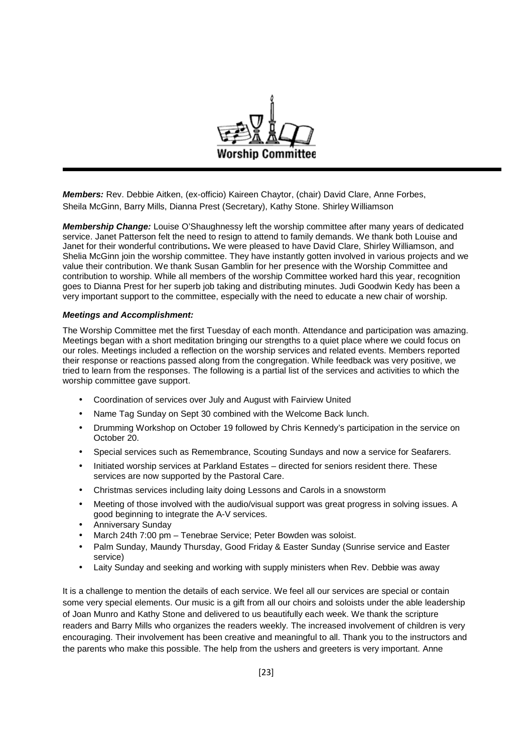

**Members:** Rev. Debbie Aitken, (ex-officio) Kaireen Chaytor, (chair) David Clare, Anne Forbes, Sheila McGinn, Barry Mills, Dianna Prest (Secretary), Kathy Stone. Shirley Williamson

**Membership Change:** Louise O'Shaughnessy left the worship committee after many years of dedicated service. Janet Patterson felt the need to resign to attend to family demands. We thank both Louise and Janet for their wonderful contributions**.** We were pleased to have David Clare, Shirley Williamson, and Shelia McGinn join the worship committee. They have instantly gotten involved in various projects and we value their contribution. We thank Susan Gamblin for her presence with the Worship Committee and contribution to worship. While all members of the worship Committee worked hard this year, recognition goes to Dianna Prest for her superb job taking and distributing minutes. Judi Goodwin Kedy has been a very important support to the committee, especially with the need to educate a new chair of worship.

### **Meetings and Accomplishment:**

The Worship Committee met the first Tuesday of each month. Attendance and participation was amazing. Meetings began with a short meditation bringing our strengths to a quiet place where we could focus on our roles. Meetings included a reflection on the worship services and related events. Members reported their response or reactions passed along from the congregation. While feedback was very positive, we tried to learn from the responses. The following is a partial list of the services and activities to which the worship committee gave support.

- Coordination of services over July and August with Fairview United
- Name Tag Sunday on Sept 30 combined with the Welcome Back lunch.
- Drumming Workshop on October 19 followed by Chris Kennedy's participation in the service on October 20.
- Special services such as Remembrance, Scouting Sundays and now a service for Seafarers.
- Initiated worship services at Parkland Estates directed for seniors resident there. These services are now supported by the Pastoral Care.
- Christmas services including laity doing Lessons and Carols in a snowstorm
- Meeting of those involved with the audio/visual support was great progress in solving issues. A good beginning to integrate the A-V services.
- Anniversary Sunday
- March 24th 7:00 pm Tenebrae Service; Peter Bowden was soloist.
- Palm Sunday, Maundy Thursday, Good Friday & Easter Sunday (Sunrise service and Easter service)
- Laity Sunday and seeking and working with supply ministers when Rev. Debbie was away

It is a challenge to mention the details of each service. We feel all our services are special or contain some very special elements. Our music is a gift from all our choirs and soloists under the able leadership of Joan Munro and Kathy Stone and delivered to us beautifully each week. We thank the scripture readers and Barry Mills who organizes the readers weekly. The increased involvement of children is very encouraging. Their involvement has been creative and meaningful to all. Thank you to the instructors and the parents who make this possible. The help from the ushers and greeters is very important. Anne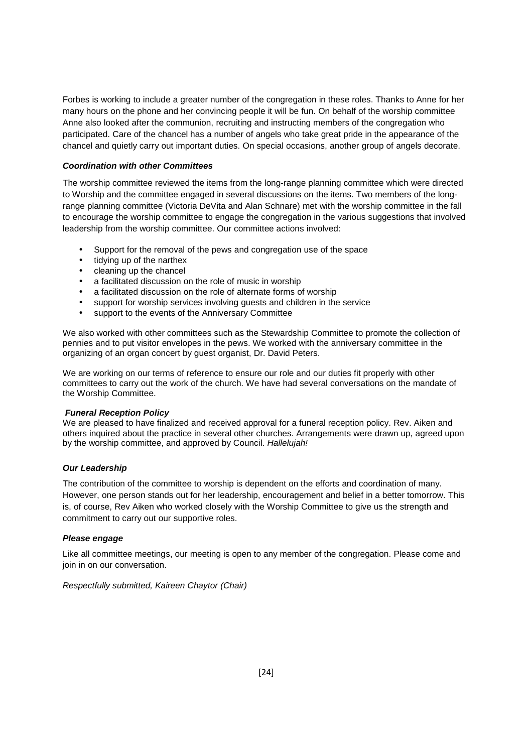Forbes is working to include a greater number of the congregation in these roles. Thanks to Anne for her many hours on the phone and her convincing people it will be fun. On behalf of the worship committee Anne also looked after the communion, recruiting and instructing members of the congregation who participated. Care of the chancel has a number of angels who take great pride in the appearance of the chancel and quietly carry out important duties. On special occasions, another group of angels decorate.

### **Coordination with other Committees**

The worship committee reviewed the items from the long-range planning committee which were directed to Worship and the committee engaged in several discussions on the items. Two members of the longrange planning committee (Victoria DeVita and Alan Schnare) met with the worship committee in the fall to encourage the worship committee to engage the congregation in the various suggestions that involved leadership from the worship committee. Our committee actions involved:

- Support for the removal of the pews and congregation use of the space
- tidying up of the narthex
- cleaning up the chancel
- a facilitated discussion on the role of music in worship
- a facilitated discussion on the role of alternate forms of worship
- support for worship services involving guests and children in the service
- support to the events of the Anniversary Committee

We also worked with other committees such as the Stewardship Committee to promote the collection of pennies and to put visitor envelopes in the pews. We worked with the anniversary committee in the organizing of an organ concert by guest organist, Dr. David Peters.

We are working on our terms of reference to ensure our role and our duties fit properly with other committees to carry out the work of the church. We have had several conversations on the mandate of the Worship Committee.

### **Funeral Reception Policy**

We are pleased to have finalized and received approval for a funeral reception policy. Rev. Aiken and others inquired about the practice in several other churches. Arrangements were drawn up, agreed upon by the worship committee, and approved by Council. Hallelujah!

### **Our Leadership**

The contribution of the committee to worship is dependent on the efforts and coordination of many. However, one person stands out for her leadership, encouragement and belief in a better tomorrow. This is, of course, Rev Aiken who worked closely with the Worship Committee to give us the strength and commitment to carry out our supportive roles.

### **Please engage**

Like all committee meetings, our meeting is open to any member of the congregation. Please come and join in on our conversation.

Respectfully submitted, Kaireen Chaytor (Chair)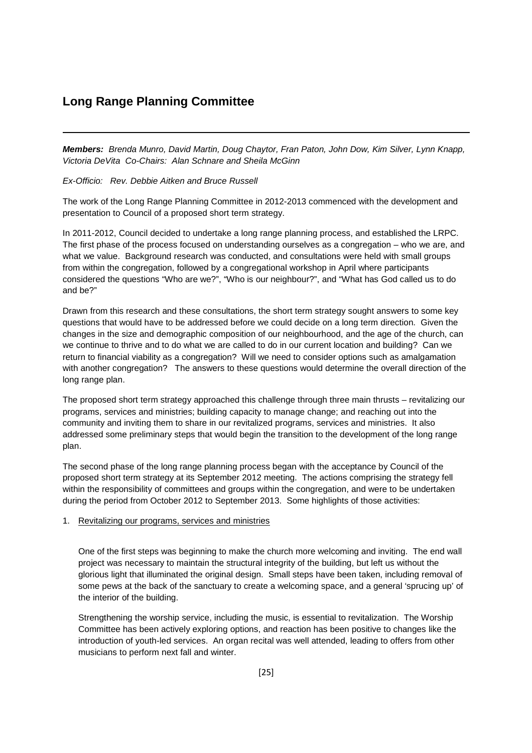### **Long Range Planning Committee**

**Members:** Brenda Munro, David Martin, Doug Chaytor, Fran Paton, John Dow, Kim Silver, Lynn Knapp, Victoria DeVita Co-Chairs: Alan Schnare and Sheila McGinn

Ex-Officio: Rev. Debbie Aitken and Bruce Russell

The work of the Long Range Planning Committee in 2012-2013 commenced with the development and presentation to Council of a proposed short term strategy.

In 2011-2012, Council decided to undertake a long range planning process, and established the LRPC. The first phase of the process focused on understanding ourselves as a congregation – who we are, and what we value. Background research was conducted, and consultations were held with small groups from within the congregation, followed by a congregational workshop in April where participants considered the questions "Who are we?", "Who is our neighbour?", and "What has God called us to do and be?"

Drawn from this research and these consultations, the short term strategy sought answers to some key questions that would have to be addressed before we could decide on a long term direction. Given the changes in the size and demographic composition of our neighbourhood, and the age of the church, can we continue to thrive and to do what we are called to do in our current location and building? Can we return to financial viability as a congregation? Will we need to consider options such as amalgamation with another congregation? The answers to these questions would determine the overall direction of the long range plan.

The proposed short term strategy approached this challenge through three main thrusts – revitalizing our programs, services and ministries; building capacity to manage change; and reaching out into the community and inviting them to share in our revitalized programs, services and ministries. It also addressed some preliminary steps that would begin the transition to the development of the long range plan.

The second phase of the long range planning process began with the acceptance by Council of the proposed short term strategy at its September 2012 meeting. The actions comprising the strategy fell within the responsibility of committees and groups within the congregation, and were to be undertaken during the period from October 2012 to September 2013. Some highlights of those activities:

#### 1. Revitalizing our programs, services and ministries

One of the first steps was beginning to make the church more welcoming and inviting. The end wall project was necessary to maintain the structural integrity of the building, but left us without the glorious light that illuminated the original design. Small steps have been taken, including removal of some pews at the back of the sanctuary to create a welcoming space, and a general 'sprucing up' of the interior of the building.

Strengthening the worship service, including the music, is essential to revitalization. The Worship Committee has been actively exploring options, and reaction has been positive to changes like the introduction of youth-led services. An organ recital was well attended, leading to offers from other musicians to perform next fall and winter.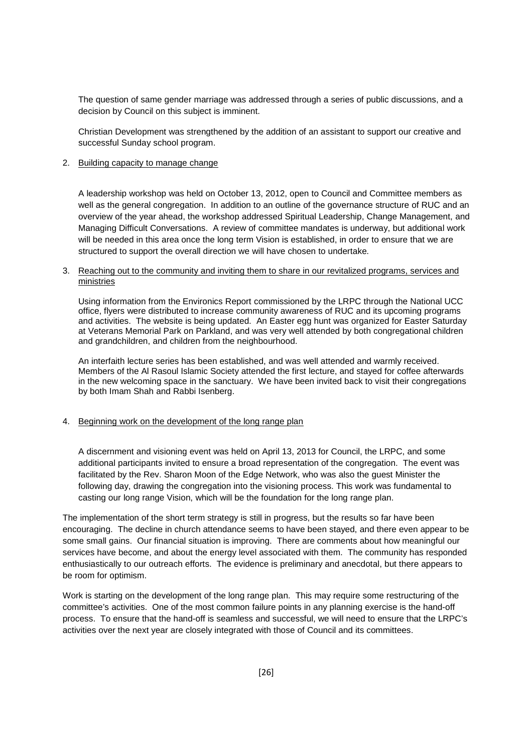The question of same gender marriage was addressed through a series of public discussions, and a decision by Council on this subject is imminent.

Christian Development was strengthened by the addition of an assistant to support our creative and successful Sunday school program.

### 2. Building capacity to manage change

A leadership workshop was held on October 13, 2012, open to Council and Committee members as well as the general congregation. In addition to an outline of the governance structure of RUC and an overview of the year ahead, the workshop addressed Spiritual Leadership, Change Management, and Managing Difficult Conversations. A review of committee mandates is underway, but additional work will be needed in this area once the long term Vision is established, in order to ensure that we are structured to support the overall direction we will have chosen to undertake.

#### 3. Reaching out to the community and inviting them to share in our revitalized programs, services and ministries

Using information from the Environics Report commissioned by the LRPC through the National UCC office, flyers were distributed to increase community awareness of RUC and its upcoming programs and activities. The website is being updated. An Easter egg hunt was organized for Easter Saturday at Veterans Memorial Park on Parkland, and was very well attended by both congregational children and grandchildren, and children from the neighbourhood.

An interfaith lecture series has been established, and was well attended and warmly received. Members of the Al Rasoul Islamic Society attended the first lecture, and stayed for coffee afterwards in the new welcoming space in the sanctuary. We have been invited back to visit their congregations by both Imam Shah and Rabbi Isenberg.

4. Beginning work on the development of the long range plan

A discernment and visioning event was held on April 13, 2013 for Council, the LRPC, and some additional participants invited to ensure a broad representation of the congregation. The event was facilitated by the Rev. Sharon Moon of the Edge Network, who was also the guest Minister the following day, drawing the congregation into the visioning process. This work was fundamental to casting our long range Vision, which will be the foundation for the long range plan.

The implementation of the short term strategy is still in progress, but the results so far have been encouraging. The decline in church attendance seems to have been stayed, and there even appear to be some small gains. Our financial situation is improving. There are comments about how meaningful our services have become, and about the energy level associated with them. The community has responded enthusiastically to our outreach efforts. The evidence is preliminary and anecdotal, but there appears to be room for optimism.

Work is starting on the development of the long range plan. This may require some restructuring of the committee's activities. One of the most common failure points in any planning exercise is the hand-off process. To ensure that the hand-off is seamless and successful, we will need to ensure that the LRPC's activities over the next year are closely integrated with those of Council and its committees.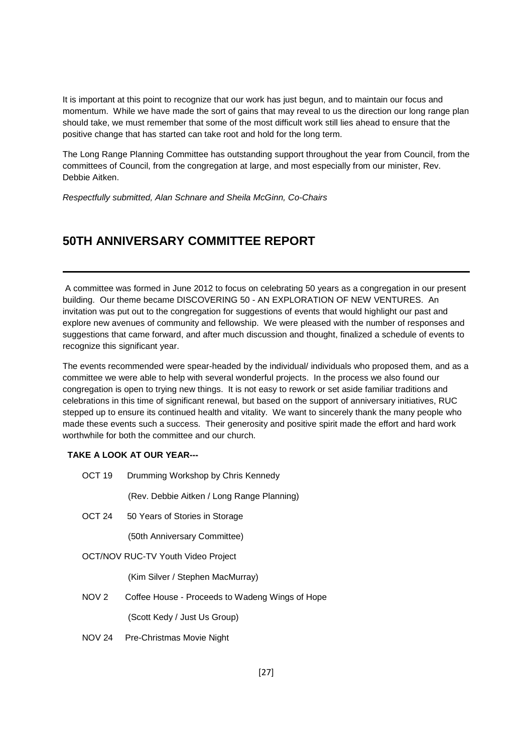It is important at this point to recognize that our work has just begun, and to maintain our focus and momentum. While we have made the sort of gains that may reveal to us the direction our long range plan should take, we must remember that some of the most difficult work still lies ahead to ensure that the positive change that has started can take root and hold for the long term.

The Long Range Planning Committee has outstanding support throughout the year from Council, from the committees of Council, from the congregation at large, and most especially from our minister, Rev. Debbie Aitken.

Respectfully submitted, Alan Schnare and Sheila McGinn, Co-Chairs

## **50TH ANNIVERSARY COMMITTEE REPORT**

 A committee was formed in June 2012 to focus on celebrating 50 years as a congregation in our present building. Our theme became DISCOVERING 50 - AN EXPLORATION OF NEW VENTURES. An invitation was put out to the congregation for suggestions of events that would highlight our past and explore new avenues of community and fellowship. We were pleased with the number of responses and suggestions that came forward, and after much discussion and thought, finalized a schedule of events to recognize this significant year.

The events recommended were spear-headed by the individual/ individuals who proposed them, and as a committee we were able to help with several wonderful projects. In the process we also found our congregation is open to trying new things. It is not easy to rework or set aside familiar traditions and celebrations in this time of significant renewal, but based on the support of anniversary initiatives, RUC stepped up to ensure its continued health and vitality. We want to sincerely thank the many people who made these events such a success. Their generosity and positive spirit made the effort and hard work worthwhile for both the committee and our church.

### **TAKE A LOOK AT OUR YEAR---**

OCT 19 Drumming Workshop by Chris Kennedy

(Rev. Debbie Aitken / Long Range Planning)

OCT 24 50 Years of Stories in Storage

(50th Anniversary Committee)

### OCT/NOV RUC-TV Youth Video Project

(Kim Silver / Stephen MacMurray)

NOV 2 Coffee House - Proceeds to Wadeng Wings of Hope

(Scott Kedy / Just Us Group)

NOV 24 Pre-Christmas Movie Night